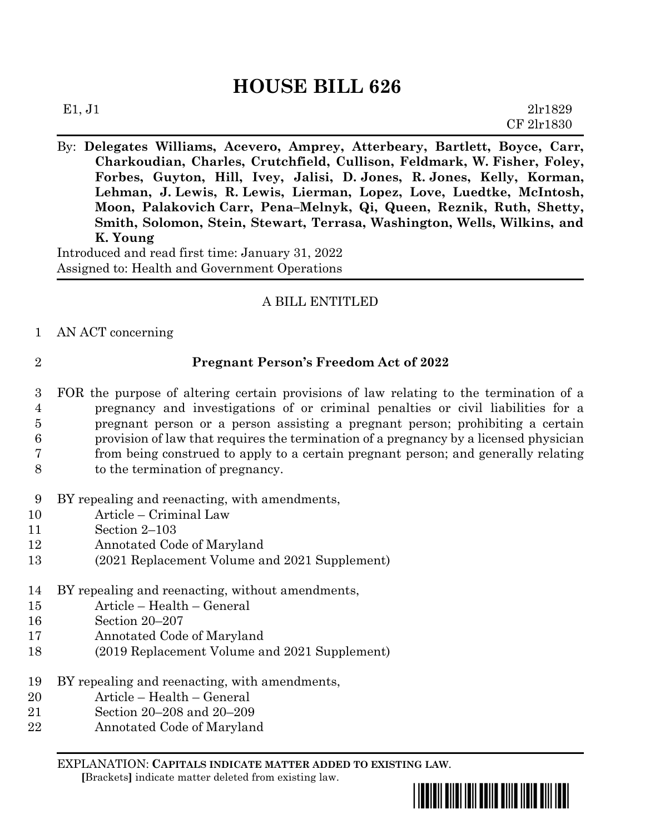## **HOUSE BILL 626**

| E1, J1 | 2lr1829    |
|--------|------------|
|        | CF 2lr1830 |

By: **Delegates Williams, Acevero, Amprey, Atterbeary, Bartlett, Boyce, Carr, Charkoudian, Charles, Crutchfield, Cullison, Feldmark, W. Fisher, Foley, Forbes, Guyton, Hill, Ivey, Jalisi, D. Jones, R. Jones, Kelly, Korman, Lehman, J. Lewis, R. Lewis, Lierman, Lopez, Love, Luedtke, McIntosh, Moon, Palakovich Carr, Pena–Melnyk, Qi, Queen, Reznik, Ruth, Shetty, Smith, Solomon, Stein, Stewart, Terrasa, Washington, Wells, Wilkins, and K. Young**

Introduced and read first time: January 31, 2022 Assigned to: Health and Government Operations

## A BILL ENTITLED

1 AN ACT concerning

## 2 **Pregnant Person's Freedom Act of 2022**

- 3 FOR the purpose of altering certain provisions of law relating to the termination of a 4 pregnancy and investigations of or criminal penalties or civil liabilities for a 5 pregnant person or a person assisting a pregnant person; prohibiting a certain 6 provision of law that requires the termination of a pregnancy by a licensed physician 7 from being construed to apply to a certain pregnant person; and generally relating 8 to the termination of pregnancy.
- 9 BY repealing and reenacting, with amendments,
- 10 Article Criminal Law
- 11 Section 2–103
- 12 Annotated Code of Maryland
- 13 (2021 Replacement Volume and 2021 Supplement)
- 14 BY repealing and reenacting, without amendments,
- 15 Article Health General
- 16 Section 20–207
- 17 Annotated Code of Maryland
- 18 (2019 Replacement Volume and 2021 Supplement)
- 19 BY repealing and reenacting, with amendments,
- 20 Article Health General
- 21 Section 20–208 and 20–209
- 22 Annotated Code of Maryland

EXPLANATION: **CAPITALS INDICATE MATTER ADDED TO EXISTING LAW**.

 **[**Brackets**]** indicate matter deleted from existing law.

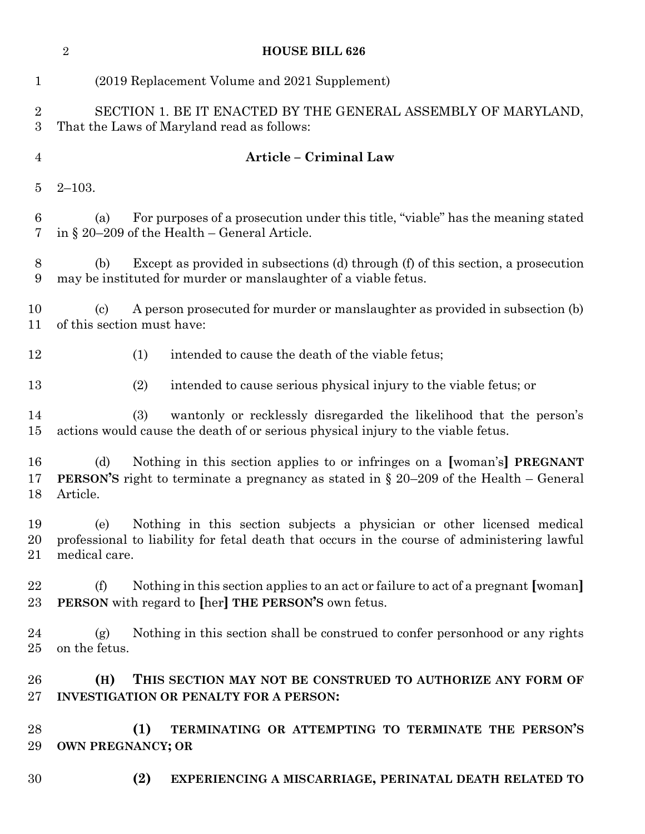|                     | $\sqrt{2}$<br><b>HOUSE BILL 626</b>                                                                                                                                                           |
|---------------------|-----------------------------------------------------------------------------------------------------------------------------------------------------------------------------------------------|
| $\mathbf{1}$        | (2019 Replacement Volume and 2021 Supplement)                                                                                                                                                 |
| $\overline{2}$<br>3 | SECTION 1. BE IT ENACTED BY THE GENERAL ASSEMBLY OF MARYLAND,<br>That the Laws of Maryland read as follows:                                                                                   |
| $\overline{4}$      | Article - Criminal Law                                                                                                                                                                        |
| $\overline{5}$      | $2 - 103.$                                                                                                                                                                                    |
| 6<br>7              | For purposes of a prosecution under this title, "viable" has the meaning stated<br>(a)<br>in § 20–209 of the Health – General Article.                                                        |
| 8<br>9              | Except as provided in subsections (d) through (f) of this section, a prosecution<br>(b)<br>may be instituted for murder or manslaughter of a viable fetus.                                    |
| 10<br>11            | A person prosecuted for murder or manslaughter as provided in subsection (b)<br>$\left( \mathrm{c}\right)$<br>of this section must have:                                                      |
| 12                  | (1)<br>intended to cause the death of the viable fetus;                                                                                                                                       |
| 13                  | intended to cause serious physical injury to the viable fetus; or<br>(2)                                                                                                                      |
| 14<br>15            | (3)<br>wantonly or recklessly disregarded the likelihood that the person's<br>actions would cause the death of or serious physical injury to the viable fetus.                                |
| 16<br>17<br>18      | (d)<br>Nothing in this section applies to or infringes on a [woman's] PREGNANT<br><b>PERSON'S</b> right to terminate a pregnancy as stated in $\S$ 20–209 of the Health – General<br>Article. |
| 19<br>20<br>21      | Nothing in this section subjects a physician or other licensed medical<br>(e)<br>professional to liability for fetal death that occurs in the course of administering lawful<br>medical care. |
| 22<br>23            | Nothing in this section applies to an act or failure to act of a pregnant [woman]<br>(f)<br>PERSON with regard to [her] THE PERSON'S own fetus.                                               |
| 24<br>25            | Nothing in this section shall be construed to confer personhood or any rights<br>(g)<br>on the fetus.                                                                                         |
| 26<br>$27\,$        | THIS SECTION MAY NOT BE CONSTRUED TO AUTHORIZE ANY FORM OF<br>(H)<br><b>INVESTIGATION OR PENALTY FOR A PERSON:</b>                                                                            |
| 28<br>29            | TERMINATING OR ATTEMPTING TO TERMINATE THE PERSON'S<br>(1)<br>OWN PREGNANCY; OR                                                                                                               |
| 30                  | (2)<br>EXPERIENCING A MISCARRIAGE, PERINATAL DEATH RELATED TO                                                                                                                                 |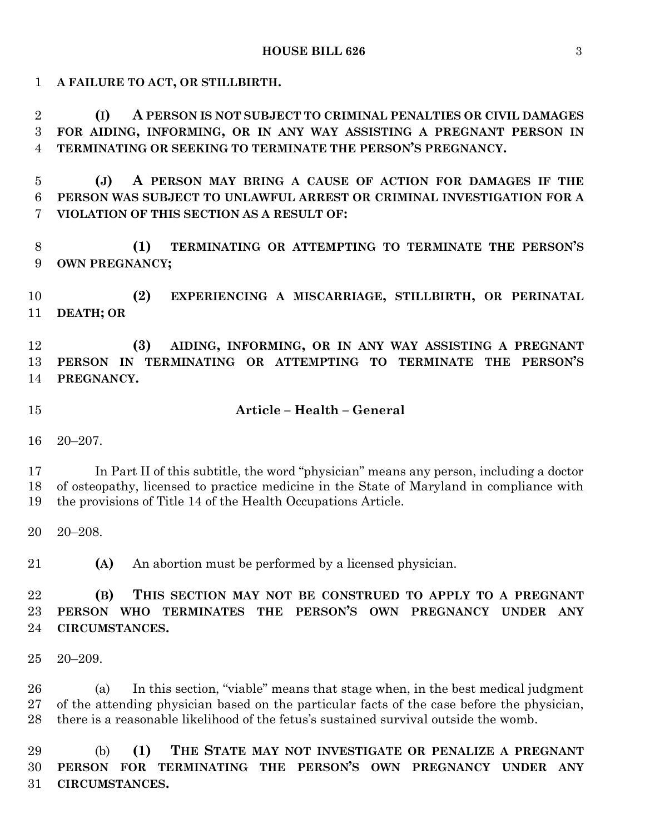**A FAILURE TO ACT, OR STILLBIRTH. (I) A PERSON IS NOT SUBJECT TO CRIMINAL PENALTIES OR CIVIL DAMAGES FOR AIDING, INFORMING, OR IN ANY WAY ASSISTING A PREGNANT PERSON IN TERMINATING OR SEEKING TO TERMINATE THE PERSON'S PREGNANCY. (J) A PERSON MAY BRING A CAUSE OF ACTION FOR DAMAGES IF THE PERSON WAS SUBJECT TO UNLAWFUL ARREST OR CRIMINAL INVESTIGATION FOR A VIOLATION OF THIS SECTION AS A RESULT OF: (1) TERMINATING OR ATTEMPTING TO TERMINATE THE PERSON'S OWN PREGNANCY; (2) EXPERIENCING A MISCARRIAGE, STILLBIRTH, OR PERINATAL DEATH; OR (3) AIDING, INFORMING, OR IN ANY WAY ASSISTING A PREGNANT PERSON IN TERMINATING OR ATTEMPTING TO TERMINATE THE PERSON'S PREGNANCY. Article – Health – General** 20–207. In Part II of this subtitle, the word "physician" means any person, including a doctor of osteopathy, licensed to practice medicine in the State of Maryland in compliance with the provisions of Title 14 of the Health Occupations Article. 20–208. **(A)** An abortion must be performed by a licensed physician. **(B) THIS SECTION MAY NOT BE CONSTRUED TO APPLY TO A PREGNANT PERSON WHO TERMINATES THE PERSON'S OWN PREGNANCY UNDER ANY CIRCUMSTANCES.** 20–209. (a) In this section, "viable" means that stage when, in the best medical judgment of the attending physician based on the particular facts of the case before the physician, there is a reasonable likelihood of the fetus's sustained survival outside the womb. (b) **(1) THE STATE MAY NOT INVESTIGATE OR PENALIZE A PREGNANT PERSON FOR TERMINATING THE PERSON'S OWN PREGNANCY UNDER ANY** 

**CIRCUMSTANCES.**